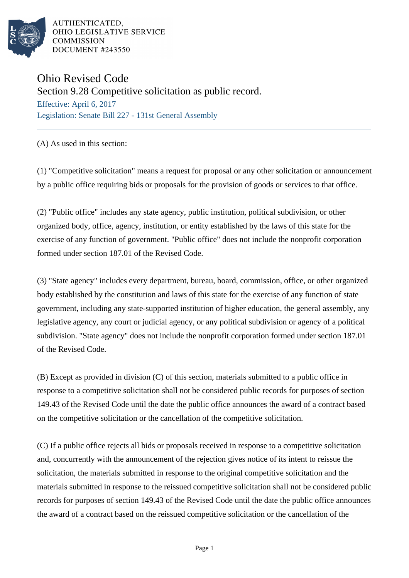

AUTHENTICATED, OHIO LEGISLATIVE SERVICE **COMMISSION** DOCUMENT #243550

## Ohio Revised Code

Section 9.28 Competitive solicitation as public record.

Effective: April 6, 2017 Legislation: Senate Bill 227 - 131st General Assembly

## (A) As used in this section:

(1) "Competitive solicitation" means a request for proposal or any other solicitation or announcement by a public office requiring bids or proposals for the provision of goods or services to that office.

(2) "Public office" includes any state agency, public institution, political subdivision, or other organized body, office, agency, institution, or entity established by the laws of this state for the exercise of any function of government. "Public office" does not include the nonprofit corporation formed under section 187.01 of the Revised Code.

(3) "State agency" includes every department, bureau, board, commission, office, or other organized body established by the constitution and laws of this state for the exercise of any function of state government, including any state-supported institution of higher education, the general assembly, any legislative agency, any court or judicial agency, or any political subdivision or agency of a political subdivision. "State agency" does not include the nonprofit corporation formed under section 187.01 of the Revised Code.

(B) Except as provided in division (C) of this section, materials submitted to a public office in response to a competitive solicitation shall not be considered public records for purposes of section 149.43 of the Revised Code until the date the public office announces the award of a contract based on the competitive solicitation or the cancellation of the competitive solicitation.

(C) If a public office rejects all bids or proposals received in response to a competitive solicitation and, concurrently with the announcement of the rejection gives notice of its intent to reissue the solicitation, the materials submitted in response to the original competitive solicitation and the materials submitted in response to the reissued competitive solicitation shall not be considered public records for purposes of section 149.43 of the Revised Code until the date the public office announces the award of a contract based on the reissued competitive solicitation or the cancellation of the